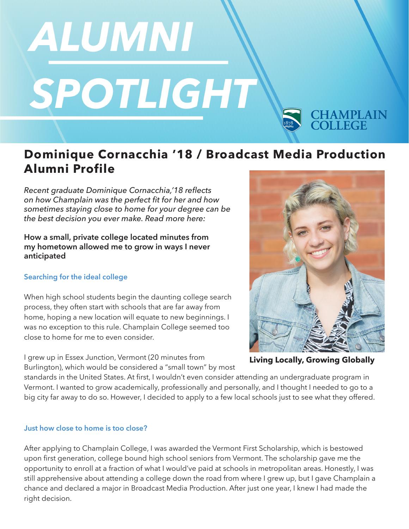# ALUMNI SPOTLIGHT

# **Dominique Cornacchia '18 / Broadcast Media Production Alumni Profile**

*Recent graduate Dominique Cornacchia,'18 reflects on how Champlain was the perfect fit for her and how sometimes staying close to home for your degree can be the best decision you ever make. Read more here:*

**How a small, private college located minutes from my hometown allowed me to grow in ways I never anticipated**

## **Searching for the ideal college**

When high school students begin the daunting college search process, they often start with schools that are far away from home, hoping a new location will equate to new beginnings. I was no exception to this rule. Champlain College seemed too close to home for me to even consider.

I grew up in Essex Junction, Vermont (20 minutes from Burlington), which would be considered a "small town" by most

standards in the United States. At first, I wouldn't even consider attending an undergraduate program in Vermont. I wanted to grow academically, professionally and personally, and I thought I needed to go to a big city far away to do so. However, I decided to apply to a few local schools just to see what they offered.

## **Just how close to home is too close?**

After applying to Champlain College, I was awarded the Vermont First Scholarship, which is bestowed upon first generation, college bound high school seniors from Vermont. The scholarship gave me the opportunity to enroll at a fraction of what I would've paid at schools in metropolitan areas. Honestly, I was still apprehensive about attending a college down the road from where I grew up, but I gave Champlain a chance and declared a major in Broadcast Media Production. After just one year, I knew I had made the right decision.



**CHAMPLAIN**<br>COLLEGE

**Living Locally, Growing Globally**